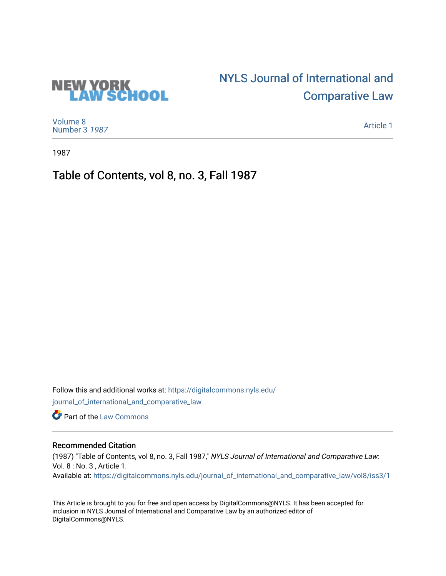# [NYLS Journal of International and](https://digitalcommons.nyls.edu/journal_of_international_and_comparative_law)  [Comparative Law](https://digitalcommons.nyls.edu/journal_of_international_and_comparative_law)



**NEW YORK<br>LAW SCHOOL** 

[Article 1](https://digitalcommons.nyls.edu/journal_of_international_and_comparative_law/vol8/iss3/1) 

1987

Table of Contents, vol 8, no. 3, Fall 1987

Follow this and additional works at: [https://digitalcommons.nyls.edu/](https://digitalcommons.nyls.edu/journal_of_international_and_comparative_law?utm_source=digitalcommons.nyls.edu%2Fjournal_of_international_and_comparative_law%2Fvol8%2Fiss3%2F1&utm_medium=PDF&utm_campaign=PDFCoverPages) [journal\\_of\\_international\\_and\\_comparative\\_law](https://digitalcommons.nyls.edu/journal_of_international_and_comparative_law?utm_source=digitalcommons.nyls.edu%2Fjournal_of_international_and_comparative_law%2Fvol8%2Fiss3%2F1&utm_medium=PDF&utm_campaign=PDFCoverPages) 

**C** Part of the [Law Commons](http://network.bepress.com/hgg/discipline/578?utm_source=digitalcommons.nyls.edu%2Fjournal_of_international_and_comparative_law%2Fvol8%2Fiss3%2F1&utm_medium=PDF&utm_campaign=PDFCoverPages)

### Recommended Citation

(1987) "Table of Contents, vol 8, no. 3, Fall 1987," NYLS Journal of International and Comparative Law: Vol. 8 : No. 3 , Article 1. Available at: [https://digitalcommons.nyls.edu/journal\\_of\\_international\\_and\\_comparative\\_law/vol8/iss3/1](https://digitalcommons.nyls.edu/journal_of_international_and_comparative_law/vol8/iss3/1?utm_source=digitalcommons.nyls.edu%2Fjournal_of_international_and_comparative_law%2Fvol8%2Fiss3%2F1&utm_medium=PDF&utm_campaign=PDFCoverPages) 

This Article is brought to you for free and open access by DigitalCommons@NYLS. It has been accepted for inclusion in NYLS Journal of International and Comparative Law by an authorized editor of DigitalCommons@NYLS.